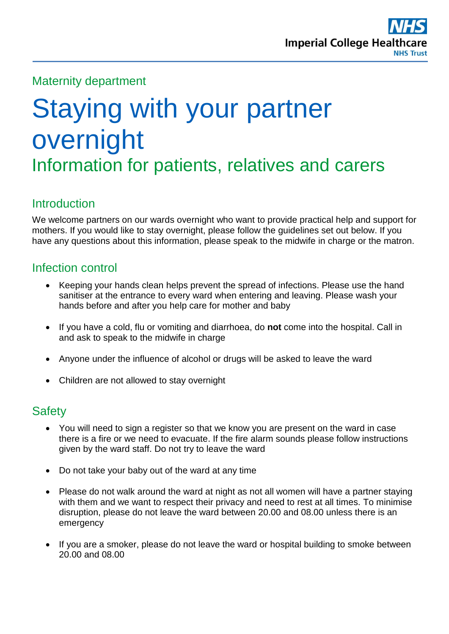

#### Maternity department

# Staying with your partner overnight Information for patients, relatives and carers

#### **Introduction**

We welcome partners on our wards overnight who want to provide practical help and support for mothers. If you would like to stay overnight, please follow the guidelines set out below. If you have any questions about this information, please speak to the midwife in charge or the matron.

#### Infection control

- Keeping your hands clean helps prevent the spread of infections. Please use the hand sanitiser at the entrance to every ward when entering and leaving. Please wash your hands before and after you help care for mother and baby
- If you have a cold, flu or vomiting and diarrhoea, do **not** come into the hospital. Call in and ask to speak to the midwife in charge
- Anyone under the influence of alcohol or drugs will be asked to leave the ward
- Children are not allowed to stay overnight

#### **Safety**

- You will need to sign a register so that we know you are present on the ward in case there is a fire or we need to evacuate. If the fire alarm sounds please follow instructions given by the ward staff. Do not try to leave the ward
- Do not take your baby out of the ward at any time
- Please do not walk around the ward at night as not all women will have a partner staying with them and we want to respect their privacy and need to rest at all times. To minimise disruption, please do not leave the ward between 20.00 and 08.00 unless there is an emergency
- If you are a smoker, please do not leave the ward or hospital building to smoke between 20.00 and 08.00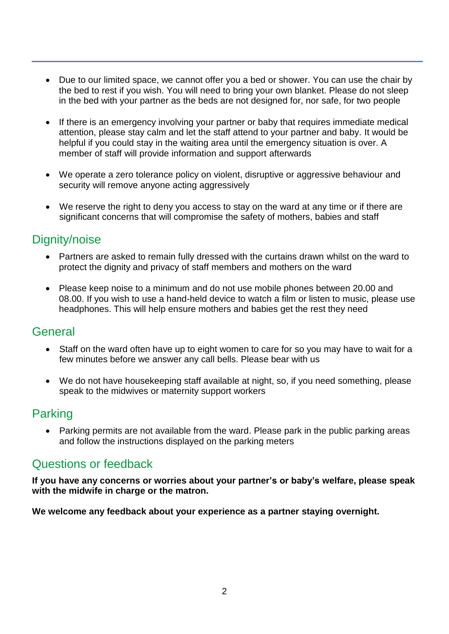- Due to our limited space, we cannot offer you a bed or shower. You can use the chair by the bed to rest if you wish. You will need to bring your own blanket. Please do not sleep in the bed with your partner as the beds are not designed for, nor safe, for two people
- If there is an emergency involving your partner or baby that requires immediate medical attention, please stay calm and let the staff attend to your partner and baby. It would be helpful if you could stay in the waiting area until the emergency situation is over. A member of staff will provide information and support afterwards
- We operate a zero tolerance policy on violent, disruptive or aggressive behaviour and security will remove anyone acting aggressively
- We reserve the right to deny you access to stay on the ward at any time or if there are significant concerns that will compromise the safety of mothers, babies and staff

## Dignity/noise

- Partners are asked to remain fully dressed with the curtains drawn whilst on the ward to protect the dignity and privacy of staff members and mothers on the ward
- Please keep noise to a minimum and do not use mobile phones between 20.00 and 08.00. If you wish to use a hand-held device to watch a film or listen to music, please use headphones. This will help ensure mothers and babies get the rest they need

#### **General**

- Staff on the ward often have up to eight women to care for so you may have to wait for a few minutes before we answer any call bells. Please bear with us
- We do not have housekeeping staff available at night, so, if you need something, please speak to the midwives or maternity support workers

## Parking

 Parking permits are not available from the ward. Please park in the public parking areas and follow the instructions displayed on the parking meters

#### Questions or feedback

**If you have any concerns or worries about your partner's or baby's welfare, please speak with the midwife in charge or the matron.** 

**We welcome any feedback about your experience as a partner staying overnight.**